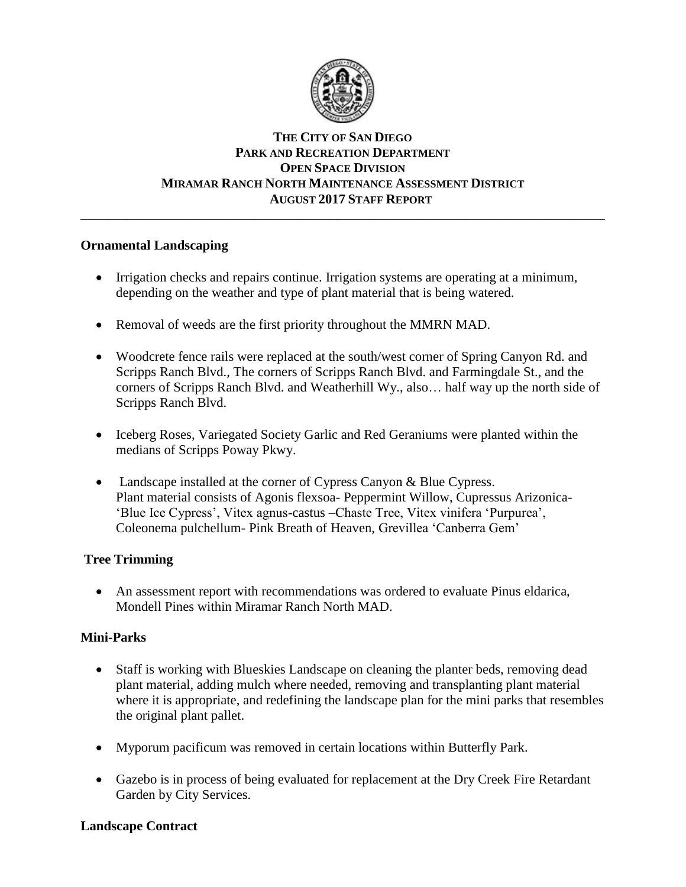

# **THE CITY OF SAN DIEGO PARK AND RECREATION DEPARTMENT OPEN SPACE DIVISION MIRAMAR RANCH NORTH MAINTENANCE ASSESSMENT DISTRICT AUGUST 2017 STAFF REPORT**

\_\_\_\_\_\_\_\_\_\_\_\_\_\_\_\_\_\_\_\_\_\_\_\_\_\_\_\_\_\_\_\_\_\_\_\_\_\_\_\_\_\_\_\_\_\_\_\_\_\_\_\_\_\_\_\_\_\_\_\_\_\_\_\_\_\_\_\_\_\_\_\_\_\_\_\_\_\_

### **Ornamental Landscaping**

- Irrigation checks and repairs continue. Irrigation systems are operating at a minimum, depending on the weather and type of plant material that is being watered.
- Removal of weeds are the first priority throughout the MMRN MAD.
- Woodcrete fence rails were replaced at the south/west corner of Spring Canyon Rd. and Scripps Ranch Blvd., The corners of Scripps Ranch Blvd. and Farmingdale St., and the corners of Scripps Ranch Blvd. and Weatherhill Wy., also… half way up the north side of Scripps Ranch Blvd.
- Iceberg Roses, Variegated Society Garlic and Red Geraniums were planted within the medians of Scripps Poway Pkwy.
- Landscape installed at the corner of Cypress Canyon & Blue Cypress. Plant material consists of Agonis flexsoa- Peppermint Willow, Cupressus Arizonica- 'Blue Ice Cypress', Vitex agnus-castus –Chaste Tree, Vitex vinifera 'Purpurea', Coleonema pulchellum- Pink Breath of Heaven, Grevillea 'Canberra Gem'

# **Tree Trimming**

 An assessment report with recommendations was ordered to evaluate Pinus eldarica, Mondell Pines within Miramar Ranch North MAD.

# **Mini-Parks**

- Staff is working with Blueskies Landscape on cleaning the planter beds, removing dead plant material, adding mulch where needed, removing and transplanting plant material where it is appropriate, and redefining the landscape plan for the mini parks that resembles the original plant pallet.
- Myporum pacificum was removed in certain locations within Butterfly Park.
- Gazebo is in process of being evaluated for replacement at the Dry Creek Fire Retardant Garden by City Services.

# **Landscape Contract**